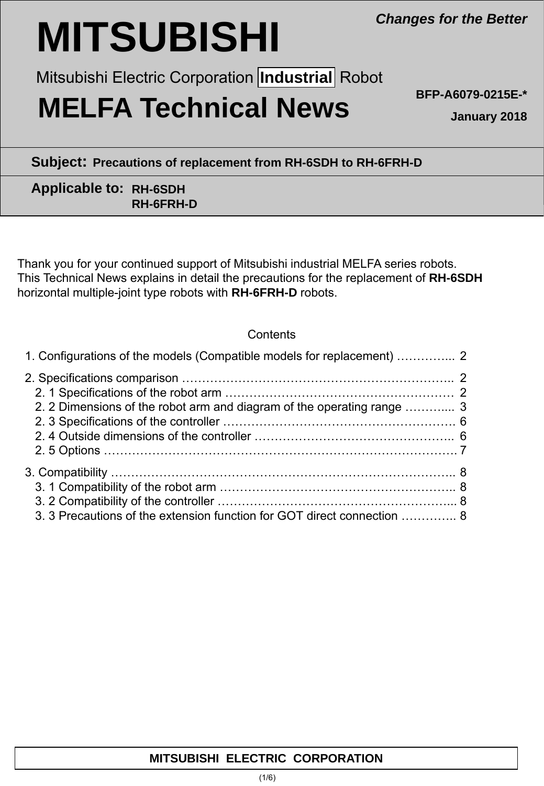# **MITSUBISHI**

Mitsubishi Electric Corporation *[Industrial]* Robot

# **MELFA Technical News**

**BFP-A6079-0215E-\***

**January 2018**

**Subject: Precautions of replacement from RH-6SDH to RH-6FRH-D**

## **Applicable to: RH-6SDH RH-6FRH-D**

Thank you for your continued support of Mitsubishi industrial MELFA series robots. This Technical News explains in detail the precautions for the replacement of **RH-6SDH** horizontal multiple-joint type robots with **RH-6FRH-D** robots.

### **Contents**

| 1. Configurations of the models (Compatible models for replacement)  2  |  |
|-------------------------------------------------------------------------|--|
|                                                                         |  |
|                                                                         |  |
| 2. 2 Dimensions of the robot arm and diagram of the operating range  3  |  |
|                                                                         |  |
|                                                                         |  |
|                                                                         |  |
|                                                                         |  |
|                                                                         |  |
|                                                                         |  |
| 3. 3 Precautions of the extension function for GOT direct connection  8 |  |

# **MITSUBISHI ELECTRIC CORPORATION**

*Changes for the Better*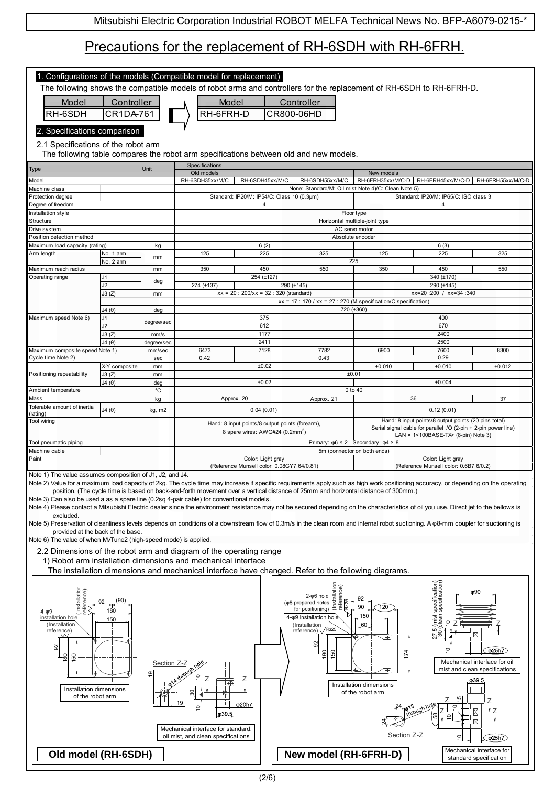# Precautions for the replacement of RH-6SDH with RH-6FRH.

| 1. Configurations of the models (Compatible model for replacement)<br>The following shows the compatible models of robot arms and controllers for the replacement of RH-6SDH to RH-6FRH-D.<br>Controller<br>Model<br>Controller<br>Model<br>RH-6SDH<br>CR1DA-761<br>RH-6FRH-D<br>CR800-06HD<br>2. Specifications comparison<br>2.1 Specifications of the robot arm                                                                                                                                                                                                                                                                                                                                                                                                                                                                                                                                                                                                                                                                                                                                                                                                                                                                                                       |               |            |                                                               |                                                 |                                                                                              |            |                                                                                                                         |        |
|--------------------------------------------------------------------------------------------------------------------------------------------------------------------------------------------------------------------------------------------------------------------------------------------------------------------------------------------------------------------------------------------------------------------------------------------------------------------------------------------------------------------------------------------------------------------------------------------------------------------------------------------------------------------------------------------------------------------------------------------------------------------------------------------------------------------------------------------------------------------------------------------------------------------------------------------------------------------------------------------------------------------------------------------------------------------------------------------------------------------------------------------------------------------------------------------------------------------------------------------------------------------------|---------------|------------|---------------------------------------------------------------|-------------------------------------------------|----------------------------------------------------------------------------------------------|------------|-------------------------------------------------------------------------------------------------------------------------|--------|
|                                                                                                                                                                                                                                                                                                                                                                                                                                                                                                                                                                                                                                                                                                                                                                                                                                                                                                                                                                                                                                                                                                                                                                                                                                                                          |               |            |                                                               |                                                 | The following table compares the robot arm specifications between old and new models.        |            |                                                                                                                         |        |
| <b>Type</b>                                                                                                                                                                                                                                                                                                                                                                                                                                                                                                                                                                                                                                                                                                                                                                                                                                                                                                                                                                                                                                                                                                                                                                                                                                                              |               | Unit       | Specifications                                                |                                                 |                                                                                              |            |                                                                                                                         |        |
| Model                                                                                                                                                                                                                                                                                                                                                                                                                                                                                                                                                                                                                                                                                                                                                                                                                                                                                                                                                                                                                                                                                                                                                                                                                                                                    |               |            | Old models<br>RH-6SDH35xx/M/C                                 | RH-6SDH45xx/M/C                                 | RH-6SDH55xx/M/C                                                                              | New models | RH-6FRH35xx/M/C-D RH-6FRH45xx/M/C-D RH-6FRH55xx/M/C-D                                                                   |        |
| Machine class                                                                                                                                                                                                                                                                                                                                                                                                                                                                                                                                                                                                                                                                                                                                                                                                                                                                                                                                                                                                                                                                                                                                                                                                                                                            |               |            |                                                               |                                                 | None: Standard/M: Oil mist Note 4)/C: Clean Note 5)                                          |            |                                                                                                                         |        |
| Protection degree                                                                                                                                                                                                                                                                                                                                                                                                                                                                                                                                                                                                                                                                                                                                                                                                                                                                                                                                                                                                                                                                                                                                                                                                                                                        |               |            |                                                               | Standard: IP20/M: IP54/C: Class 10 (0.3µm)      |                                                                                              |            | Standard: IP20/M: IP65/C: ISO class 3                                                                                   |        |
| Degree of freedom<br>Installation style                                                                                                                                                                                                                                                                                                                                                                                                                                                                                                                                                                                                                                                                                                                                                                                                                                                                                                                                                                                                                                                                                                                                                                                                                                  |               |            |                                                               | 4                                               | Floor type                                                                                   |            | 4                                                                                                                       |        |
| Structure                                                                                                                                                                                                                                                                                                                                                                                                                                                                                                                                                                                                                                                                                                                                                                                                                                                                                                                                                                                                                                                                                                                                                                                                                                                                |               |            |                                                               |                                                 | Horizontal multiple-joint type                                                               |            |                                                                                                                         |        |
| Drive system<br>Position detection method                                                                                                                                                                                                                                                                                                                                                                                                                                                                                                                                                                                                                                                                                                                                                                                                                                                                                                                                                                                                                                                                                                                                                                                                                                |               |            |                                                               |                                                 | AC servo motor<br>Absolute encoder                                                           |            |                                                                                                                         |        |
| Maximum load capacity (rating)                                                                                                                                                                                                                                                                                                                                                                                                                                                                                                                                                                                                                                                                                                                                                                                                                                                                                                                                                                                                                                                                                                                                                                                                                                           |               | kg         |                                                               | 6(2)                                            |                                                                                              |            | 6(3)                                                                                                                    |        |
| Arm length                                                                                                                                                                                                                                                                                                                                                                                                                                                                                                                                                                                                                                                                                                                                                                                                                                                                                                                                                                                                                                                                                                                                                                                                                                                               | No. 1 arm     | mm         | 125                                                           | 225                                             | 325                                                                                          | 125        | 225                                                                                                                     | 325    |
| Maximum reach radius                                                                                                                                                                                                                                                                                                                                                                                                                                                                                                                                                                                                                                                                                                                                                                                                                                                                                                                                                                                                                                                                                                                                                                                                                                                     | No. 2 arm     | mm         | 350                                                           | 450                                             | 225<br>550                                                                                   | 350        | 450                                                                                                                     | 550    |
| Operating range                                                                                                                                                                                                                                                                                                                                                                                                                                                                                                                                                                                                                                                                                                                                                                                                                                                                                                                                                                                                                                                                                                                                                                                                                                                          | J1            |            |                                                               | 254 (±127)                                      |                                                                                              |            | 340 (±170)                                                                                                              |        |
|                                                                                                                                                                                                                                                                                                                                                                                                                                                                                                                                                                                                                                                                                                                                                                                                                                                                                                                                                                                                                                                                                                                                                                                                                                                                          | J2            | deg        | 274 (±137)                                                    |                                                 | 290 (±145)                                                                                   |            | 290 (±145)                                                                                                              |        |
|                                                                                                                                                                                                                                                                                                                                                                                                                                                                                                                                                                                                                                                                                                                                                                                                                                                                                                                                                                                                                                                                                                                                                                                                                                                                          | J3(Z)         | mm         |                                                               | $xx = 20$ : 200/xx = 32 : 320 (standard)        | $xx = 17 : 170 / xx = 27 : 270$ (M specification/C specification)                            |            | xx=20:200 / xx=34:340                                                                                                   |        |
|                                                                                                                                                                                                                                                                                                                                                                                                                                                                                                                                                                                                                                                                                                                                                                                                                                                                                                                                                                                                                                                                                                                                                                                                                                                                          | J4(0)         | deg        |                                                               |                                                 | 720 (±360)                                                                                   |            |                                                                                                                         |        |
| Maximum speed Note 6)                                                                                                                                                                                                                                                                                                                                                                                                                                                                                                                                                                                                                                                                                                                                                                                                                                                                                                                                                                                                                                                                                                                                                                                                                                                    | J1            | degree/sec |                                                               | 375                                             |                                                                                              |            | 400                                                                                                                     |        |
|                                                                                                                                                                                                                                                                                                                                                                                                                                                                                                                                                                                                                                                                                                                                                                                                                                                                                                                                                                                                                                                                                                                                                                                                                                                                          | J2<br>J3(Z)   | mm/s       |                                                               | 612<br>1177                                     |                                                                                              |            | 670<br>2400                                                                                                             |        |
|                                                                                                                                                                                                                                                                                                                                                                                                                                                                                                                                                                                                                                                                                                                                                                                                                                                                                                                                                                                                                                                                                                                                                                                                                                                                          | J4(0)         | degree/sec |                                                               | 2411                                            |                                                                                              |            | 2500                                                                                                                    |        |
| Maximum composite speed Note 1)                                                                                                                                                                                                                                                                                                                                                                                                                                                                                                                                                                                                                                                                                                                                                                                                                                                                                                                                                                                                                                                                                                                                                                                                                                          |               | mm/sec     | 6473                                                          | 7128                                            | 7782                                                                                         | 6900       | 7600                                                                                                                    | 8300   |
| Cycle time Note 2)                                                                                                                                                                                                                                                                                                                                                                                                                                                                                                                                                                                                                                                                                                                                                                                                                                                                                                                                                                                                                                                                                                                                                                                                                                                       | X-Y composite | sec<br>mm  | 0.42                                                          | ±0.02                                           | 0.43                                                                                         | ±0.010     | 0.29<br>±0.010                                                                                                          | ±0.012 |
| Positioning repeatability                                                                                                                                                                                                                                                                                                                                                                                                                                                                                                                                                                                                                                                                                                                                                                                                                                                                                                                                                                                                                                                                                                                                                                                                                                                | J3(Z)         | mm         |                                                               |                                                 | ±0.01                                                                                        |            |                                                                                                                         |        |
|                                                                                                                                                                                                                                                                                                                                                                                                                                                                                                                                                                                                                                                                                                                                                                                                                                                                                                                                                                                                                                                                                                                                                                                                                                                                          | J4(0)         | deg        |                                                               | ±0.02                                           |                                                                                              |            | ±0.004                                                                                                                  |        |
| Ambient temperature<br>Mass                                                                                                                                                                                                                                                                                                                                                                                                                                                                                                                                                                                                                                                                                                                                                                                                                                                                                                                                                                                                                                                                                                                                                                                                                                              |               | °C         |                                                               | Approx. 20                                      | 0 to 40                                                                                      |            | 36                                                                                                                      | 37     |
| Tolerable amount of inertia                                                                                                                                                                                                                                                                                                                                                                                                                                                                                                                                                                                                                                                                                                                                                                                                                                                                                                                                                                                                                                                                                                                                                                                                                                              |               | kg         |                                                               |                                                 | Approx. 21                                                                                   |            |                                                                                                                         |        |
| rating)                                                                                                                                                                                                                                                                                                                                                                                                                                                                                                                                                                                                                                                                                                                                                                                                                                                                                                                                                                                                                                                                                                                                                                                                                                                                  | J4(0)         | kg, m2     |                                                               | 0.04(0.01)                                      |                                                                                              |            | 0.12(0.01)                                                                                                              |        |
| Tool wiring                                                                                                                                                                                                                                                                                                                                                                                                                                                                                                                                                                                                                                                                                                                                                                                                                                                                                                                                                                                                                                                                                                                                                                                                                                                              |               |            |                                                               | Hand: 8 input points/8 output points (forearm), |                                                                                              |            | Hand: 8 input points/8 output points (20 pins total)<br>Serial signal cable for parallel I/O (2-pin + 2-pin power line) |        |
|                                                                                                                                                                                                                                                                                                                                                                                                                                                                                                                                                                                                                                                                                                                                                                                                                                                                                                                                                                                                                                                                                                                                                                                                                                                                          |               |            |                                                               | 8 spare wires: AWG#24 (0.2mm <sup>2</sup> )     |                                                                                              |            | LAN × 1<100BASE-TX> (8-pin) Note 3)                                                                                     |        |
| Tool pneumatic piping<br>Machine cable                                                                                                                                                                                                                                                                                                                                                                                                                                                                                                                                                                                                                                                                                                                                                                                                                                                                                                                                                                                                                                                                                                                                                                                                                                   |               |            |                                                               |                                                 | Primary: $\varphi 6 \times 2$ Secondary: $\varphi 4 \times 8$<br>5m (connector on both ends) |            |                                                                                                                         |        |
| Paint                                                                                                                                                                                                                                                                                                                                                                                                                                                                                                                                                                                                                                                                                                                                                                                                                                                                                                                                                                                                                                                                                                                                                                                                                                                                    |               |            |                                                               | Color: Light gray                               |                                                                                              |            | Color: Light gray                                                                                                       |        |
| (Reference Munsell color: 0.08GY7.64/0.81)<br>(Reference Munsell color: 0.6B7.6/0.2)<br>Note 1) The value assumes composition of J1, J2, and J4.<br>Note 2) Value for a maximum load capacity of 2kg. The cycle time may increase if specific requirements apply such as high work positioning accuracy, or depending on the operating<br>position. (The cycle time is based on back-and-forth movement over a vertical distance of 25mm and horizontal distance of 300mm.)<br>Note 3) Can also be used a as a spare line (0.2sq 4-pair cable) for conventional models.<br>Note 4) Please contact a Mitsubishi Electric dealer since the environment resistance may not be secured depending on the characteristics of oil you use. Direct jet to the bellows is<br>excluded.<br>Note 5) Preservation of cleanliness levels depends on conditions of a downstream flow of 0.3m/s in the clean room and internal robot suctioning. A $\varphi$ 8-mm coupler for suctioning is<br>provided at the back of the base.<br>Note 6) The value of when MvTune2 (high-speed mode) is applied.                                                                                                                                                                                     |               |            |                                                               |                                                 |                                                                                              |            |                                                                                                                         |        |
| 2.2 Dimensions of the robot arm and diagram of the operating range                                                                                                                                                                                                                                                                                                                                                                                                                                                                                                                                                                                                                                                                                                                                                                                                                                                                                                                                                                                                                                                                                                                                                                                                       |               |            |                                                               |                                                 |                                                                                              |            |                                                                                                                         |        |
|                                                                                                                                                                                                                                                                                                                                                                                                                                                                                                                                                                                                                                                                                                                                                                                                                                                                                                                                                                                                                                                                                                                                                                                                                                                                          |               |            | 1) Robot arm installation dimensions and mechanical interface |                                                 |                                                                                              |            |                                                                                                                         |        |
| The installation dimensions and mechanical interface have changed. Refer to the following diagrams.<br>specification)<br>a specification)<br>$(48)$ prepared holes $\frac{15}{10}$ $\frac{15}{10}$ $\frac{15}{10}$ $\frac{15}{10}$ $\frac{15}{10}$ $\frac{15}{10}$ $\frac{15}{10}$ $\frac{15}{10}$ $\frac{15}{10}$ $\frac{15}{10}$ $\frac{15}{10}$ $\frac{15}{10}$ $\frac{15}{10}$ $\frac{15}{10}$ $\frac{15}{10}$ $\frac{15}{10}$ $\frac{15}{$<br>(Installation)<br>reference)<br>φ90<br>92<br>(90)<br>92<br>90<br>120<br>180<br>$4 - 09$<br>150<br>Chian<br>Clean<br>4-φ9 installation hole<br>installation hole<br>150<br>₽<br>(Installation<br>(Installation<br>60<br>$reference) \sqrt{Rz25}$<br>27.5 (<br>reference)<br>95<br>95<br>$\varphi$ 25h7<br>⊺≌<br>150<br><u>.8</u><br>$\frac{50}{2}$<br>Mechanical interface for oil<br>Section Z-Z<br>mist and clean specifications<br>ഉ<br>Ź<br>φ39.5<br>Installation dimensions<br>Installation dimensions<br>of the robot arm<br>of the robot arm<br>19<br>φ20h7<br>$\subseteq$<br>φ39.5<br>5<br>Mechanical interface for standard,<br>Section Z-Z<br>oil mist, and clean specifications<br>ă<br>$\sqrt{925h}$<br>Mechanical interface for<br>New model (RH-6FRH-D)<br>Old model (RH-6SDH)<br>standard specification |               |            |                                                               |                                                 |                                                                                              |            |                                                                                                                         |        |
|                                                                                                                                                                                                                                                                                                                                                                                                                                                                                                                                                                                                                                                                                                                                                                                                                                                                                                                                                                                                                                                                                                                                                                                                                                                                          |               |            |                                                               |                                                 |                                                                                              |            |                                                                                                                         |        |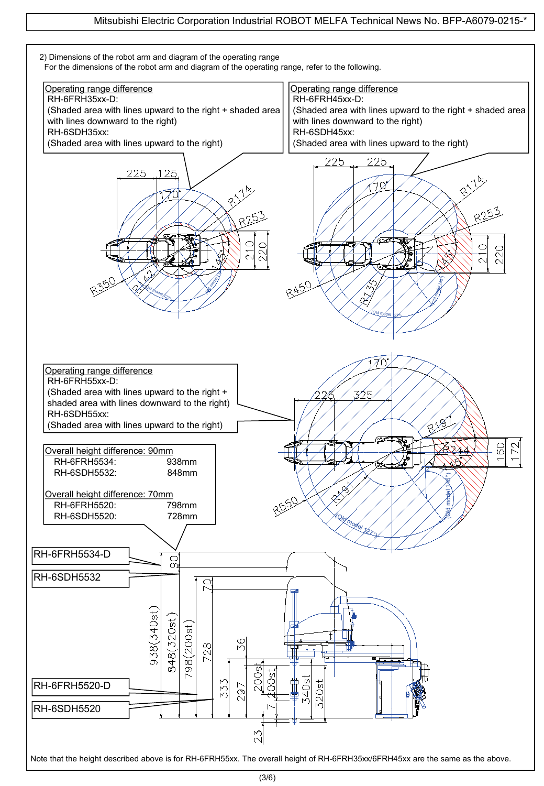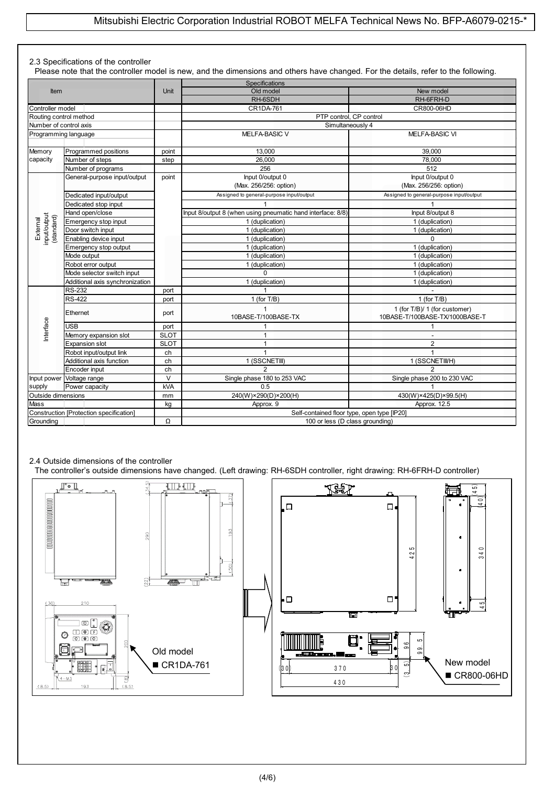#### 2.3 Specifications of the controller

Please note that the controller model is new, and the dimensions and others have changed. For the details, refer to the following.

| <b>Item</b>            |                                                                                          |             | Specifications                                              |                                          |  |  |
|------------------------|------------------------------------------------------------------------------------------|-------------|-------------------------------------------------------------|------------------------------------------|--|--|
|                        |                                                                                          | <b>Unit</b> | Old model                                                   | New model                                |  |  |
|                        |                                                                                          |             | RH-6SDH                                                     | RH-6FRH-D                                |  |  |
| Controller model       |                                                                                          |             | CR1DA-761                                                   | CR800-06HD                               |  |  |
| Routing control method |                                                                                          |             | PTP control. CP control                                     |                                          |  |  |
| Number of control axis |                                                                                          |             | Simultaneously 4                                            |                                          |  |  |
| Programming language   |                                                                                          |             | MELFA-BASIC V                                               | MELFA-BASIC VI                           |  |  |
|                        |                                                                                          |             |                                                             |                                          |  |  |
| Memory                 | Programmed positions                                                                     | point       | 13.000                                                      | 39.000                                   |  |  |
| capacity               | Number of steps                                                                          | step        | 26.000                                                      | 78,000                                   |  |  |
|                        | Number of programs                                                                       |             | 256                                                         | 512                                      |  |  |
|                        | General-purpose input/output                                                             | point       | Input 0/output 0                                            | Input 0/output 0                         |  |  |
|                        |                                                                                          |             | (Max. 256/256: option)                                      | (Max. 256/256: option)                   |  |  |
|                        | Dedicated input/output                                                                   |             | Assigned to general-purpose input/output                    | Assigned to general-purpose input/output |  |  |
|                        | Dedicated stop input                                                                     |             |                                                             |                                          |  |  |
|                        | Hand open/close                                                                          |             | Input 8/output 8 (when using pneumatic hand interface: 8/8) | Input 8/output 8                         |  |  |
|                        | Emergency stop input                                                                     |             | 1 (duplication)                                             | 1 (duplication)                          |  |  |
|                        | Door switch input                                                                        |             | 1 (duplication)                                             | 1 (duplication)                          |  |  |
|                        | input/output<br>(standard)<br>External<br>Enabling device input<br>Emergency stop output |             | 1 (duplication)                                             | $\Omega$                                 |  |  |
|                        |                                                                                          |             | 1 (duplication)                                             | 1 (duplication)                          |  |  |
|                        | Mode output                                                                              |             | 1 (duplication)                                             | 1 (duplication)                          |  |  |
| Robot error output     |                                                                                          |             | 1 (duplication)                                             | 1 (duplication)                          |  |  |
|                        | Mode selector switch input                                                               |             | $\Omega$                                                    | 1 (duplication)                          |  |  |
|                        | Additional axis synchronization                                                          |             | 1 (duplication)                                             | 1 (duplication)                          |  |  |
|                        | <b>RS-232</b>                                                                            | port        | 1                                                           |                                          |  |  |
|                        | <b>RS-422</b>                                                                            | port        | 1 (for $T/B$ )                                              | 1 (for $T/B$ )                           |  |  |
|                        |                                                                                          |             | 1                                                           | 1 (for T/B)/ 1 (for customer)            |  |  |
|                        | Ethernet                                                                                 | port        | 10BASE-T/100BASE-TX                                         | 10BASE-T/100BASE-TX/1000BASE-T           |  |  |
| nterface               | <b>USB</b>                                                                               | port        |                                                             | 1                                        |  |  |
|                        | Memory expansion slot                                                                    | <b>SLOT</b> | 1                                                           |                                          |  |  |
|                        | Expansion slot                                                                           | <b>SLOT</b> | 1                                                           | $\overline{2}$                           |  |  |
|                        | Robot input/output link                                                                  | ch          | 1                                                           | $\mathbf{1}$                             |  |  |
|                        | Additional axis function                                                                 | ch          | 1 (SSCNETIII)                                               | 1 (SSCNETIIVH)                           |  |  |
|                        | Encoder input                                                                            | ch          | $\mathfrak{p}$                                              | $\mathfrak{p}$                           |  |  |
| Input power            | Voltage range                                                                            | $\vee$      | Single phase 180 to 253 VAC                                 | Single phase 200 to 230 VAC              |  |  |
| supply                 | Power capacity                                                                           | <b>kVA</b>  | 0.5                                                         |                                          |  |  |
| Outside dimensions     |                                                                                          | mm          | 240(W)×290(D)×200(H)                                        | 430(W)×425(D)×99.5(H)                    |  |  |
| <b>Mass</b>            |                                                                                          | kq          | Approx. 9                                                   | Approx. 12.5                             |  |  |
|                        | Construction [Protection specification]                                                  |             | Self-contained floor type, open type [IP20]                 |                                          |  |  |
| Grounding              |                                                                                          | Ω           |                                                             |                                          |  |  |
|                        |                                                                                          |             | 100 or less (D class grounding)                             |                                          |  |  |

#### 2.4 Outside dimensions of the controller

The controller's outside dimensions have changed. (Left drawing: RH-6SDH controller, right drawing: RH-6FRH-D controller)

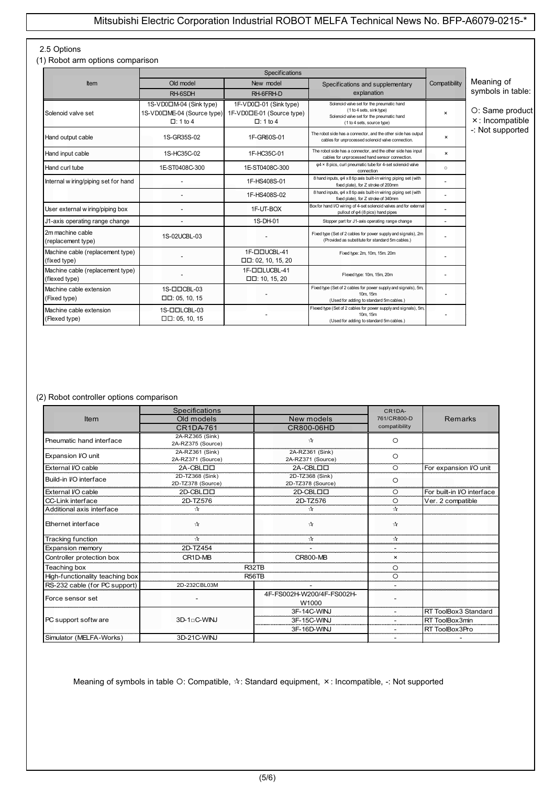#### 2.5 Options

(1) Robot arm options comparison

| Item                                              | Old model                                                                | New model<br>Specifications and supplementary                          |                                                                                                                                                  | Compatibility             | Meaning of                         |
|---------------------------------------------------|--------------------------------------------------------------------------|------------------------------------------------------------------------|--------------------------------------------------------------------------------------------------------------------------------------------------|---------------------------|------------------------------------|
|                                                   | RH-6SDH                                                                  | RH-6FRH-D                                                              | explanation                                                                                                                                      |                           | symbols in table:                  |
| Solenoid valve set                                | 1S-VD0□M-04 (Sink type)<br>1S-VD0□ME-04 (Source type)<br>$\Box$ : 1 to 4 | 1F-VD0口-01 (Sink type)<br>1F-VD0□E-01 (Source type)<br>$\Box$ : 1 to 4 | Solenoid valve set for the pneumatic hand<br>(1 to 4 sets, sink type)<br>Solenoid valve set for the pneumatic hand<br>(1 to 4 sets, source type) | $\boldsymbol{\mathsf{x}}$ | O: Same product<br>×: Incompatible |
| Hand output cable                                 | 1S-GR35S-02                                                              | 1F-GR60S-01                                                            | The robot side has a connector, and the other side has output<br>cables for unprocessed solenoid valve connection.                               | $\boldsymbol{\mathsf{x}}$ | -: Not supported                   |
| Hand input cable                                  | 1S-HC35C-02                                                              | 1F-HC35C-01                                                            | The robot side has a connector, and the other side has input<br>cables for unprocessed hand sensor connection.                                   | $\boldsymbol{\mathsf{x}}$ |                                    |
| Hand curl tube                                    | 1E-ST0408C-300                                                           | 1E-ST0408C-300                                                         | $\varphi$ 4 × 8 pics, curl pneumatic tube for 4-set solenoid valve<br>connection                                                                 | $\circ$                   |                                    |
| Internal wiring/piping set for hand               |                                                                          | 1F-HS408S-01                                                           | 8 hand inputs, $\varphi$ 4 x 8 tip axis built-in wiring piping set (with<br>fixed plate), for Z stroke of 200mm                                  |                           |                                    |
|                                                   |                                                                          | 1F-HS408S-02                                                           | 8 hand inputs, $\varphi$ 4 x 8 tip axis built-in wiring piping set (with<br>fixed plate), for Z stroke of 340mm                                  |                           |                                    |
| User external w iring/piping box                  |                                                                          | 1F-UT-BOX                                                              | Box for hand I/O wiring of 4-set solenoid valves and for external<br>pullout of $\varphi$ 4 (8 pics) hand pipes                                  |                           |                                    |
| J1-axis operating range change                    |                                                                          | 1S-DH-01                                                               | Stopper part for J1-axis operating range change                                                                                                  |                           |                                    |
| 2m machine cable<br>(replacement type)            | 1S-02UCBL-03                                                             |                                                                        | Fixed type (Set of 2 cables for power supply and signals), 2m<br>(Provided as substitute for standard 5m cables.)                                |                           |                                    |
| Machine cable (replacement type)<br>(fixed type)  |                                                                          | 1F-DOUCBL-41<br>$\Box$ $\Box$ : 02, 10, 15, 20                         | Fixed type: 2m, 10m, 15m. 20m                                                                                                                    |                           |                                    |
| Machine cable (replacement type)<br>(flexed type) |                                                                          | 1F-DDLUCBL-41<br>$\Box$ $\Box$ : 10, 15, 20                            | Flexed type: 10m, 15m, 20m                                                                                                                       |                           |                                    |
| Machine cable extension<br>(Fixed type)           | 1S-ODCBL-03<br>$\Box$ $\Box$ : 05, 10, 15                                |                                                                        | Fixed type (Set of 2 cables for power supply and signals), 5m,<br>10m. 15m<br>(Used for adding to standard 5m cables.)                           |                           |                                    |
| Machine cable extension<br>(Flexed type)          | 1S-ODLCBL-03<br>$\Box$ $\Box$ : 05, 10, 15                               |                                                                        | Flexed type (Set of 2 cables for power supply and signals), 5m,<br>10m. 15m<br>(Used for adding to standard 5m cables.)                          |                           |                                    |

#### (2) Robot controller options comparison

|                                 | Specifications           |                                | CR1DA-        |                            |
|---------------------------------|--------------------------|--------------------------------|---------------|----------------------------|
| Item                            | Old models               | New models                     | 761/CR800-D   | <b>Remarks</b>             |
|                                 | <b>CR1DA-761</b>         | CR800-06HD                     | compatibility |                            |
| Pneumatic hand interface        | 2A-RZ365 (Sink)          | $\Lambda$                      | $\circ$       |                            |
|                                 | 2A-RZ375 (Source)        |                                |               |                            |
| Expansion I/O unit              | 2A-RZ361 (Sink)          | 2A-RZ361 (Sink)                | $\circ$       |                            |
|                                 | 2A-RZ371 (Source)        | 2A-RZ371 (Source)              |               |                            |
| External I/O cable              | 2A-CBLOO                 | 2A-CBLOO                       | $\circ$       | For expansion I/O unit     |
| Build-in I/O interface          | 2D-TZ368 (Sink)          | 2D-TZ368 (Sink)                | $\circ$       |                            |
|                                 | 2D-TZ378 (Source)        | 2D-TZ378 (Source)              |               |                            |
| External I/O cable              | 2D-CBLOO                 | 2D-CBLOO                       | $\circ$       | For built-in I/O interface |
| CC-Link interface               | 2D-TZ576                 | 2D-TZ576                       | $\circ$       | Ver. 2 compatible          |
| Additional axis interface       | ☆                        | ⊹                              | $\rightarrow$ |                            |
| Ethernet interface              | $\Lambda$                | $\Lambda$                      | $\rightarrow$ |                            |
| Tracking function               | ☆                        | ☆                              | $\pi$         |                            |
| Expansion memory                | 2D-TZ454                 |                                |               |                            |
| Controller protection box       | CR1D-MB                  | <b>CR800-MB</b>                | $\times$      |                            |
| Teaching box                    |                          | R <sub>32</sub> T <sub>B</sub> | $\circ$       |                            |
| High-functionality teaching box |                          | <b>R56TB</b>                   | $\circ$       |                            |
| RS-232 cable (for PC support)   | 2D-232CBL03M             |                                |               |                            |
| Force sensor set                |                          | 4F-FS002H-W200/4F-FS002H-      |               |                            |
|                                 |                          | W1000                          |               |                            |
|                                 |                          | 3F-14C-WINJ                    |               | RT ToolBox3 Standard       |
| PC support softw are            | 3D-1 <sub>0</sub> C-WINJ | 3F-15C-WINJ                    |               | RT ToolBox3min             |
|                                 |                          | 3F-16D-WINJ                    |               | RT ToolBox3Pro             |
| Simulator (MELFA-Works)         | 3D-21C-WINJ              |                                |               |                            |

Meaning of symbols in table O: Compatible,  $\forall$ : Standard equipment,  $\times$ : Incompatible, -: Not supported